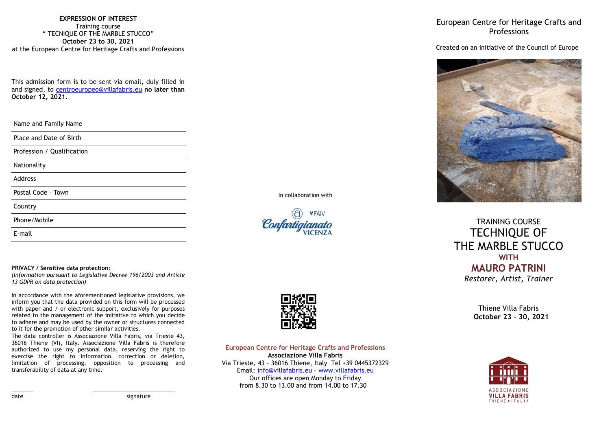**EXPRESSION OF INTEREST** Training course " TECNIQUE OF THE MARBLE STUCCO" **October 23 to 30, 2021** at the European Centre for Heritage Crafts and Professions

This admission form is to be sent via email, duly filled in and signed, to [centroeuropeo@villafabris.eu](mailto:centroeuropeo@villafabris.eu) **no later than October 12, 2021.**

Name and Family Name

Place and Date of Birth

Profession / Qualification

Nationality

Address

Postal Code – Town

Country

Phone/Mobile

E-mail

#### **PRIVACY / Sensitive data protection:**

*(Information pursuant to Legislative Decree 196/2003 and Article 13 GDPR on data protection)*

In accordance with the aforementioned legislative provisions, we inform you that the data provided on this form will be processed with paper and / or electronic support, exclusively for purposes related to the management of the initiative to which you decide to adhere and may be used by the owner or structures connected to it for the promotion of other similar activities.

The data controller is Associazione Villa Fabris, via Trieste 43, 36016 Thiene (VI), Italy. Associazione Villa Fabris is therefore authorized to use my personal data, reserving the right to exercise the right to information, correction or deletion, limitation of processing, opposition to processing and transferability of data at any time.

\_\_\_\_\_\_\_ \_\_\_\_\_\_\_\_\_\_\_\_\_\_\_\_\_\_\_\_\_\_\_\_\_\_\_

In collaboration with





**European Centre for Heritage Crafts and Professions Associazione Villa Fabris** Via Trieste, 43 – 36016 Thiene, Italy Tel +39 0445372329 Email: [info@villafabris.eu](mailto:info@villafabris.eu) – [www.villafabris.eu](http://www.villafabris.eu/) Our offices are open Monday to Friday from 8.30 to 13.00 and from 14.00 to 17.30

European Centre for Heritage Crafts and **Professions** 

## Created on an initiative of the Council of Europe



TRAINING COURSE TECHNIQUE OF THE MARBLE STUCCO **WITH MAURO PATRINI** *Restorer, Artist, Trainer*

> Thiene Villa Fabris **October 23 – 30, 2021**